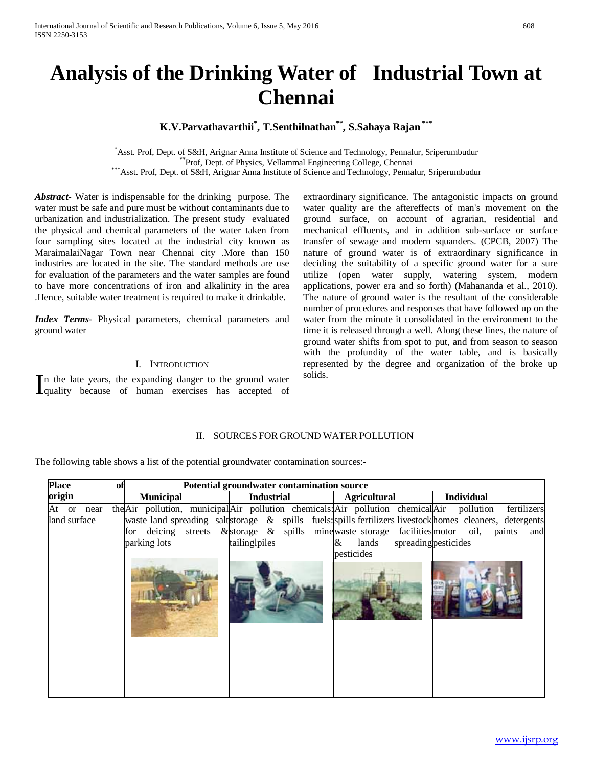# **Analysis of the Drinking Water of Industrial Town at Chennai**

# **K.V.Parvathavarthii\* , T.Senthilnathan\*\* , S.Sahaya Rajan \*\*\***

\*Asst. Prof, Dept. of S&H, Arignar Anna Institute of Science and Technology, Pennalur, Sriperumbudur \*\*\*Prof, Dept. of Physics, Vellammal Engineering College, Chennai<br>\*\*\*Asst. Prof, Dept. of S&H, Arignar Anna Institute of Science and Technology, Pennalur, Sriperumbudur

*Abstract***-** Water is indispensable for the drinking purpose. The water must be safe and pure must be without contaminants due to urbanization and industrialization. The present study evaluated the physical and chemical parameters of the water taken from four sampling sites located at the industrial city known as MaraimalaiNagar Town near Chennai city .More than 150 industries are located in the site. The standard methods are use for evaluation of the parameters and the water samples are found to have more concentrations of iron and alkalinity in the area .Hence, suitable water treatment is required to make it drinkable.

*Index Terms*- Physical parameters, chemical parameters and ground water

#### I. INTRODUCTION

n the late years, the expanding danger to the ground water In the late years, the expanding danger to the ground water<br>quality because of human exercises has accepted of extraordinary significance. The antagonistic impacts on ground water quality are the aftereffects of man's movement on the ground surface, on account of agrarian, residential and mechanical effluents, and in addition sub-surface or surface transfer of sewage and modern squanders. (CPCB, 2007) The nature of ground water is of extraordinary significance in deciding the suitability of a specific ground water for a sure utilize (open water supply, watering system, modern applications, power era and so forth) (Mahananda et al., 2010). The nature of ground water is the resultant of the considerable number of procedures and responses that have followed up on the water from the minute it consolidated in the environment to the time it is released through a well. Along these lines, the nature of ground water shifts from spot to put, and from season to season with the profundity of the water table, and is basically represented by the degree and organization of the broke up solids.

# II. SOURCES FOR GROUND WATER POLLUTION

The following table shows a list of the potential groundwater contamination sources:-

| <b>Place</b><br>W1         | Potential groundwater contamination source                                                                 |                                                                                                         |                          |                                                                                                                                                        |  |
|----------------------------|------------------------------------------------------------------------------------------------------------|---------------------------------------------------------------------------------------------------------|--------------------------|--------------------------------------------------------------------------------------------------------------------------------------------------------|--|
| origin                     | <b>Municipal</b>                                                                                           | <b>Industrial</b>                                                                                       | <b>Agricultural</b>      | <b>Individual</b>                                                                                                                                      |  |
| At or near<br>land surface | the Air pollution, municipal Air pollution chemicals: Air pollution chemical Air pollution<br>parking lots | for deicing streets & storage & spills mine waste storage facilities motor oil, paints<br>tailing piles | lands<br>&<br>pesticides | fertilizers<br>waste land spreading saltstorage & spills fuels: spills fertilizers livestock homes cleaners, detergents<br>and<br>spreading pesticides |  |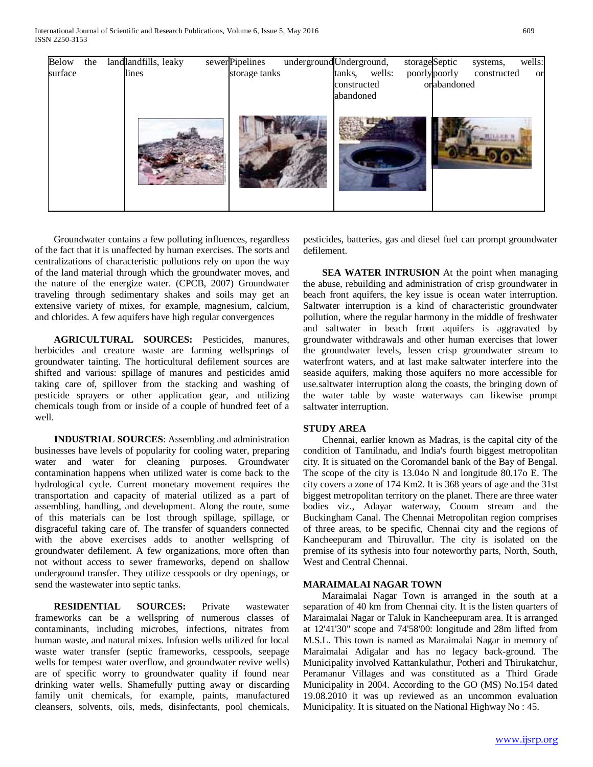International Journal of Scientific and Research Publications, Volume 6, Issue 5, May 2016 609 ISSN 2250-3153



 Groundwater contains a few polluting influences, regardless of the fact that it is unaffected by human exercises. The sorts and centralizations of characteristic pollutions rely on upon the way of the land material through which the groundwater moves, and the nature of the energize water. (CPCB, 2007) Groundwater traveling through sedimentary shakes and soils may get an extensive variety of mixes, for example, magnesium, calcium, and chlorides. A few aquifers have high regular convergences

 **AGRICULTURAL SOURCES:** Pesticides, manures, herbicides and creature waste are farming wellsprings of groundwater tainting. The horticultural defilement sources are shifted and various: spillage of manures and pesticides amid taking care of, spillover from the stacking and washing of pesticide sprayers or other application gear, and utilizing chemicals tough from or inside of a couple of hundred feet of a well.

 **INDUSTRIAL SOURCES**: Assembling and administration businesses have levels of popularity for cooling water, preparing water and water for cleaning purposes. Groundwater contamination happens when utilized water is come back to the hydrological cycle. Current monetary movement requires the transportation and capacity of material utilized as a part of assembling, handling, and development. Along the route, some of this materials can be lost through spillage, spillage, or disgraceful taking care of. The transfer of squanders connected with the above exercises adds to another wellspring of groundwater defilement. A few organizations, more often than not without access to sewer frameworks, depend on shallow underground transfer. They utilize cesspools or dry openings, or send the wastewater into septic tanks.

 **RESIDENTIAL SOURCES:** Private wastewater frameworks can be a wellspring of numerous classes of contaminants, including microbes, infections, nitrates from human waste, and natural mixes. Infusion wells utilized for local waste water transfer (septic frameworks, cesspools, seepage wells for tempest water overflow, and groundwater revive wells) are of specific worry to groundwater quality if found near drinking water wells. Shamefully putting away or discarding family unit chemicals, for example, paints, manufactured cleansers, solvents, oils, meds, disinfectants, pool chemicals,

pesticides, batteries, gas and diesel fuel can prompt groundwater defilement.

**SEA WATER INTRUSION** At the point when managing the abuse, rebuilding and administration of crisp groundwater in beach front aquifers, the key issue is ocean water interruption. Saltwater interruption is a kind of characteristic groundwater pollution, where the regular harmony in the middle of freshwater and saltwater in beach front aquifers is aggravated by groundwater withdrawals and other human exercises that lower the groundwater levels, lessen crisp groundwater stream to waterfront waters, and at last make saltwater interfere into the seaside aquifers, making those aquifers no more accessible for use.saltwater interruption along the coasts, the bringing down of the water table by waste waterways can likewise prompt saltwater interruption.

## **STUDY AREA**

 Chennai, earlier known as Madras, is the capital city of the condition of Tamilnadu, and India's fourth biggest metropolitan city. It is situated on the Coromandel bank of the Bay of Bengal. The scope of the city is 13.04o N and longitude 80.17o E. The city covers a zone of 174 Km2. It is 368 years of age and the 31st biggest metropolitan territory on the planet. There are three water bodies viz., Adayar waterway, Cooum stream and the Buckingham Canal. The Chennai Metropolitan region comprises of three areas, to be specific, Chennai city and the regions of Kancheepuram and Thiruvallur. The city is isolated on the premise of its sythesis into four noteworthy parts, North, South, West and Central Chennai.

## **MARAIMALAI NAGAR TOWN**

 Maraimalai Nagar Town is arranged in the south at a separation of 40 km from Chennai city. It is the listen quarters of Maraimalai Nagar or Taluk in Kancheepuram area. It is arranged at 12'41'30" scope and 74'58'00: longitude and 28m lifted from M.S.L. This town is named as Maraimalai Nagar in memory of Maraimalai Adigalar and has no legacy back-ground. The Municipality involved Kattankulathur, Potheri and Thirukatchur, Peramanur Villages and was constituted as a Third Grade Municipality in 2004. According to the GO (MS) No.154 dated 19.08.2010 it was up reviewed as an uncommon evaluation Municipality. It is situated on the National Highway No : 45.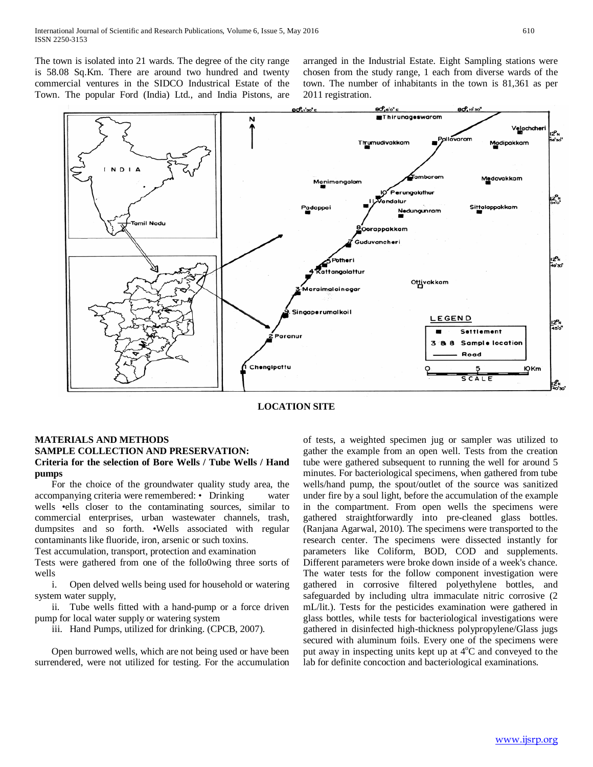The town is isolated into 21 wards. The degree of the city range is 58.08 Sq.Km. There are around two hundred and twenty commercial ventures in the SIDCO Industrical Estate of the Town. The popular Ford (India) Ltd., and India Pistons, are arranged in the Industrial Estate. Eight Sampling stations were chosen from the study range, 1 each from diverse wards of the town. The number of inhabitants in the town is 81,361 as per 2011 registration.



**LOCATION SITE**

# **MATERIALS AND METHODS SAMPLE COLLECTION AND PRESERVATION: Criteria for the selection of Bore Wells / Tube Wells / Hand pumps**

 For the choice of the groundwater quality study area, the accompanying criteria were remembered: • Drinking water wells •ells closer to the contaminating sources, similar to commercial enterprises, urban wastewater channels, trash, dumpsites and so forth. •Wells associated with regular contaminants like fluoride, iron, arsenic or such toxins.

Test accumulation, transport, protection and examination

Tests were gathered from one of the follo0wing three sorts of wells

 i. Open delved wells being used for household or watering system water supply,

 ii. Tube wells fitted with a hand-pump or a force driven pump for local water supply or watering system

iii. Hand Pumps, utilized for drinking. (CPCB, 2007).

 Open burrowed wells, which are not being used or have been surrendered, were not utilized for testing. For the accumulation of tests, a weighted specimen jug or sampler was utilized to gather the example from an open well. Tests from the creation tube were gathered subsequent to running the well for around 5 minutes. For bacteriological specimens, when gathered from tube wells/hand pump, the spout/outlet of the source was sanitized under fire by a soul light, before the accumulation of the example in the compartment. From open wells the specimens were gathered straightforwardly into pre-cleaned glass bottles. (Ranjana Agarwal, 2010). The specimens were transported to the research center. The specimens were dissected instantly for parameters like Coliform, BOD, COD and supplements. Different parameters were broke down inside of a week's chance. The water tests for the follow component investigation were gathered in corrosive filtered polyethylene bottles, and safeguarded by including ultra immaculate nitric corrosive (2 mL/lit.). Tests for the pesticides examination were gathered in glass bottles, while tests for bacteriological investigations were gathered in disinfected high-thickness polypropylene/Glass jugs secured with aluminum foils. Every one of the specimens were put away in inspecting units kept up at 4°C and conveyed to the lab for definite concoction and bacteriological examinations.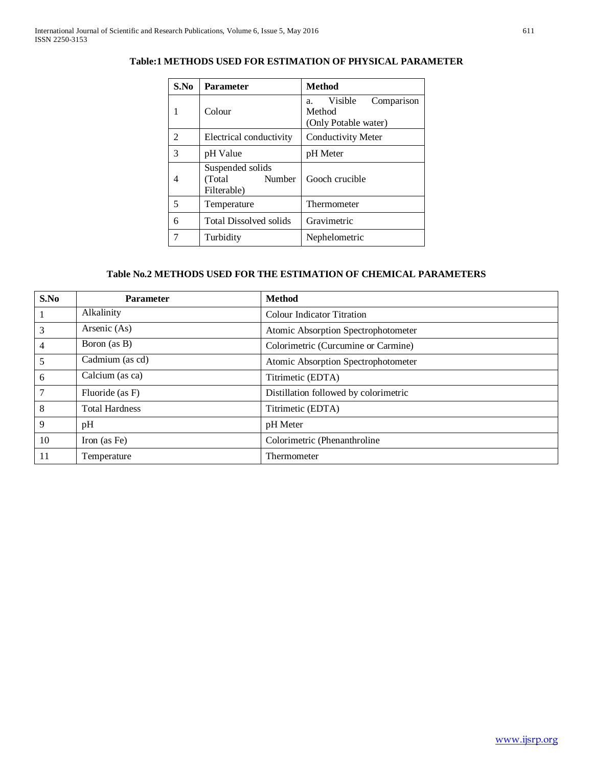| S.No | <b>Parameter</b>                                     | <b>Method</b>                                                 |  |  |
|------|------------------------------------------------------|---------------------------------------------------------------|--|--|
| 1    | Colour                                               | Visible<br>Comparison<br>a.<br>Method<br>(Only Potable water) |  |  |
| 2    | Electrical conductivity                              | <b>Conductivity Meter</b>                                     |  |  |
| 3    | pH Value                                             | pH Meter                                                      |  |  |
| 4    | Suspended solids<br>Number<br>(Total)<br>Filterable) | Gooch crucible                                                |  |  |
| 5    | Temperature                                          | Thermometer                                                   |  |  |
| 6    | <b>Total Dissolved solids</b>                        | Gravimetric                                                   |  |  |
|      | Turbidity                                            | Nephelometric                                                 |  |  |

# **Table:1 METHODS USED FOR ESTIMATION OF PHYSICAL PARAMETER**

# **Table No.2 METHODS USED FOR THE ESTIMATION OF CHEMICAL PARAMETERS**

| S.No | <b>Parameter</b>      | <b>Method</b>                         |  |  |
|------|-----------------------|---------------------------------------|--|--|
|      | Alkalinity            | <b>Colour Indicator Titration</b>     |  |  |
| 3    | Arsenic (As)          | Atomic Absorption Spectrophotometer   |  |  |
| 4    | Boron (as B)          | Colorimetric (Curcumine or Carmine)   |  |  |
| 5    | Cadmium (as cd)       | Atomic Absorption Spectrophotometer   |  |  |
| 6    | Calcium (as ca)       | Titrimetic (EDTA)                     |  |  |
|      | Fluoride (as F)       | Distillation followed by colorimetric |  |  |
| 8    | <b>Total Hardness</b> | Titrimetic (EDTA)                     |  |  |
| 9    | pH                    | pH Meter                              |  |  |
| 10   | Iron (as Fe)          | Colorimetric (Phenanthroline)         |  |  |
| 11   | Temperature           | Thermometer                           |  |  |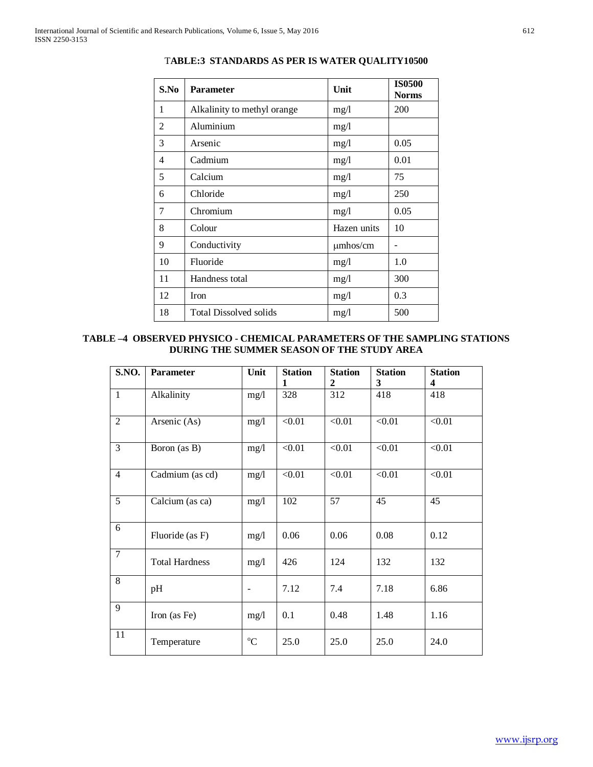| S.No           | <b>Parameter</b>              | Unit          | <b>IS0500</b><br><b>Norms</b> |
|----------------|-------------------------------|---------------|-------------------------------|
| 1              | Alkalinity to methyl orange   | mg/l          | 200                           |
| $\mathfrak{D}$ | Aluminium                     | mg/1          |                               |
| 3              | Arsenic                       | mg/1          | 0.05                          |
| 4              | Cadmium                       | mg/1          | 0.01                          |
| 5              | Calcium                       | mg/1          | 75                            |
| 6              | Chloride                      | mg/l          | 250                           |
| 7              | Chromium                      | mg/1          | 0.05                          |
| 8              | Colour                        | Hazen units   | 10                            |
| 9              | Conductivity                  | $\mu$ mhos/cm |                               |
| 10             | Fluoride                      | mg/1          | 1.0                           |
| 11             | Handness total                | mg/1          | 300                           |
| 12             | Iron                          | mg/1          | 0.3                           |
| 18             | <b>Total Dissolved solids</b> | mg/l          | 500                           |

T**ABLE:3 STANDARDS AS PER IS WATER QUALITY10500**

# **TABLE –4 OBSERVED PHYSICO - CHEMICAL PARAMETERS OF THE SAMPLING STATIONS DURING THE SUMMER SEASON OF THE STUDY AREA**

| S.NO.          | Parameter             | Unit        | <b>Station</b><br>1 | <b>Station</b><br>2 | <b>Station</b><br>3 | <b>Station</b><br>4 |
|----------------|-----------------------|-------------|---------------------|---------------------|---------------------|---------------------|
| $\mathbf{1}$   | Alkalinity            | mg/l        | 328                 | 312                 | 418                 | 418                 |
| $\overline{2}$ | Arsenic (As)          | mg/l        | < 0.01              | < 0.01              | < 0.01              | < 0.01              |
| $\overline{3}$ | Boron (as B)          | mg/1        | < 0.01              | < 0.01              | < 0.01              | < 0.01              |
| $\overline{4}$ | Cadmium (as cd)       | mg/1        | < 0.01              | < 0.01              | < 0.01              | < 0.01              |
| 5              | Calcium (as ca)       | mg/l        | 102                 | 57                  | 45                  | 45                  |
| 6              | Fluoride (as F)       | mg/1        | 0.06                | 0.06                | 0.08                | 0.12                |
| $\tau$         | <b>Total Hardness</b> | mg/1        | 426                 | 124                 | 132                 | 132                 |
| 8              | pH                    |             | 7.12                | 7.4                 | 7.18                | 6.86                |
| 9              | Iron (as Fe)          | mg/1        | 0.1                 | 0.48                | 1.48                | 1.16                |
| 11             | Temperature           | $^{\circ}C$ | 25.0                | 25.0                | 25.0                | 24.0                |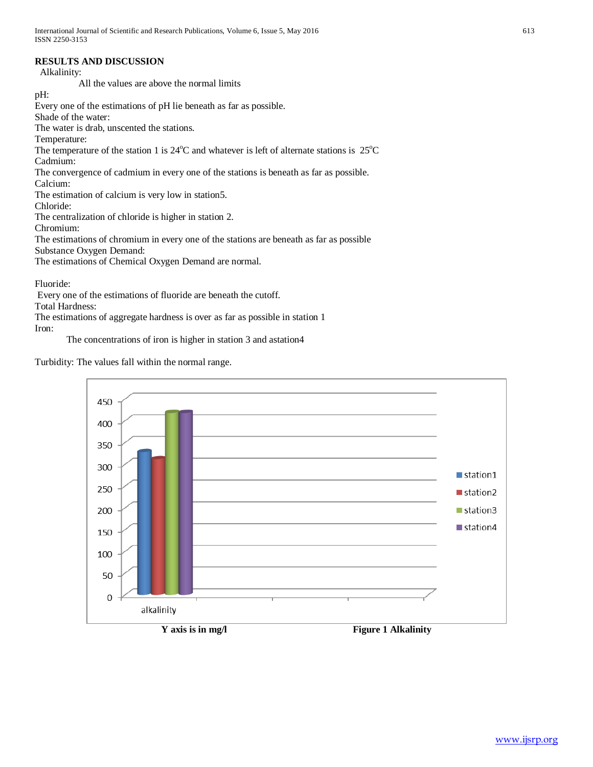# **RESULTS AND DISCUSSION**

Alkalinity:

All the values are above the normal limits

pH:

Every one of the estimations of pH lie beneath as far as possible.

Shade of the water:

The water is drab, unscented the stations.

Temperature:

The temperature of the station 1 is  $24^{\circ}$ C and whatever is left of alternate stations is  $25^{\circ}$ C

Cadmium:

The convergence of cadmium in every one of the stations is beneath as far as possible.

Calcium:

The estimation of calcium is very low in station5.

Chloride:

The centralization of chloride is higher in station 2.

Chromium:

The estimations of chromium in every one of the stations are beneath as far as possible

Substance Oxygen Demand:

The estimations of Chemical Oxygen Demand are normal.

Fluoride:

Every one of the estimations of fluoride are beneath the cutoff.

Total Hardness:

The estimations of aggregate hardness is over as far as possible in station 1 Iron:

The concentrations of iron is higher in station 3 and astation4

Turbidity: The values fall within the normal range.

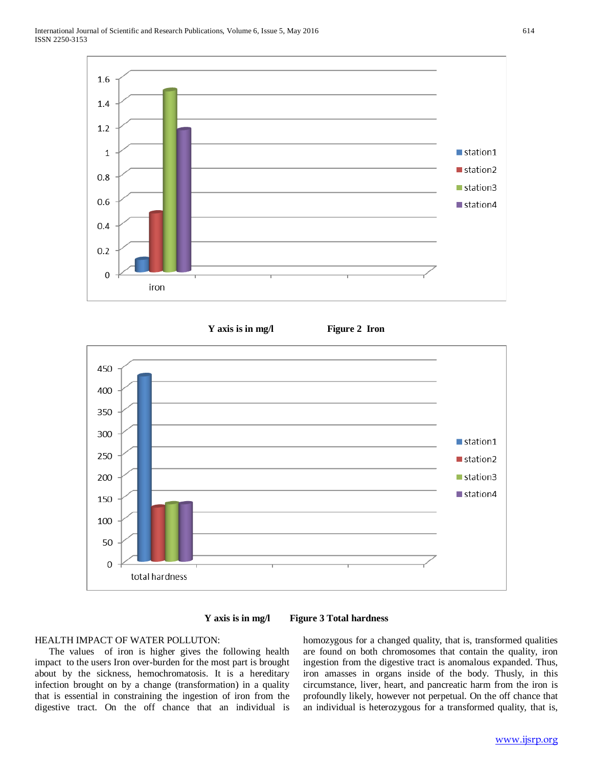









# HEALTH IMPACT OF WATER POLLUTON:

 The values of iron is higher gives the following health impact to the users Iron over-burden for the most part is brought about by the sickness, hemochromatosis. It is a hereditary infection brought on by a change (transformation) in a quality that is essential in constraining the ingestion of iron from the digestive tract. On the off chance that an individual is homozygous for a changed quality, that is, transformed qualities are found on both chromosomes that contain the quality, iron ingestion from the digestive tract is anomalous expanded. Thus, iron amasses in organs inside of the body. Thusly, in this circumstance, liver, heart, and pancreatic harm from the iron is profoundly likely, however not perpetual. On the off chance that an individual is heterozygous for a transformed quality, that is,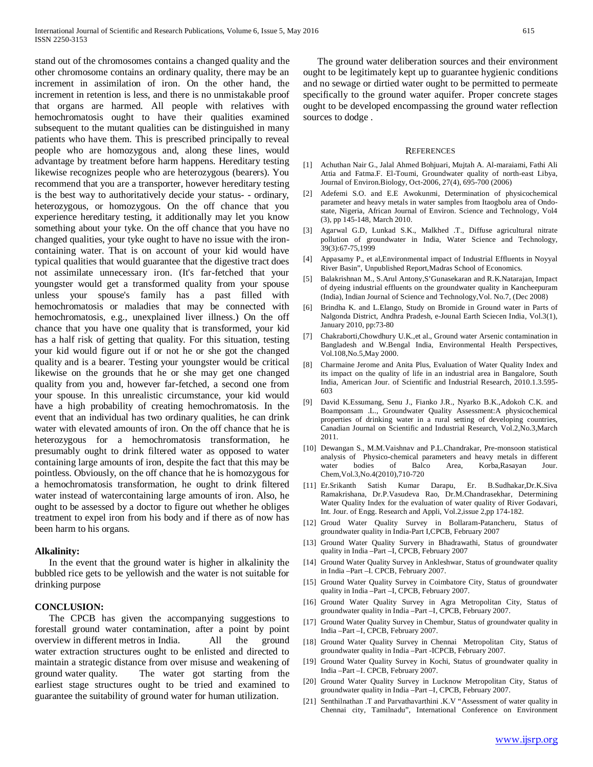stand out of the chromosomes contains a changed quality and the other chromosome contains an ordinary quality, there may be an increment in assimilation of iron. On the other hand, the increment in retention is less, and there is no unmistakable proof that organs are harmed. All people with relatives with hemochromatosis ought to have their qualities examined subsequent to the mutant qualities can be distinguished in many patients who have them. This is prescribed principally to reveal people who are homozygous and, along these lines, would advantage by treatment before harm happens. Hereditary testing likewise recognizes people who are heterozygous (bearers). You recommend that you are a transporter, however hereditary testing is the best way to authoritatively decide your status- - ordinary, heterozygous, or homozygous. On the off chance that you experience hereditary testing, it additionally may let you know something about your tyke. On the off chance that you have no changed qualities, your tyke ought to have no issue with the ironcontaining water. That is on account of your kid would have typical qualities that would guarantee that the digestive tract does not assimilate unnecessary iron. (It's far-fetched that your youngster would get a transformed quality from your spouse unless your spouse's family has a past filled with hemochromatosis or maladies that may be connected with hemochromatosis, e.g., unexplained liver illness.) On the off chance that you have one quality that is transformed, your kid has a half risk of getting that quality. For this situation, testing your kid would figure out if or not he or she got the changed quality and is a bearer. Testing your youngster would be critical likewise on the grounds that he or she may get one changed quality from you and, however far-fetched, a second one from your spouse. In this unrealistic circumstance, your kid would have a high probability of creating hemochromatosis. In the event that an individual has two ordinary qualities, he can drink water with elevated amounts of iron. On the off chance that he is heterozygous for a hemochromatosis transformation, he presumably ought to drink filtered water as opposed to water containing large amounts of iron, despite the fact that this may be pointless. Obviously, on the off chance that he is homozygous for a hemochromatosis transformation, he ought to drink filtered water instead of watercontaining large amounts of iron. Also, he ought to be assessed by a doctor to figure out whether he obliges treatment to expel iron from his body and if there as of now has been harm to his organs.

#### **Alkalinity:**

 In the event that the ground water is higher in alkalinity the bubbled rice gets to be yellowish and the water is not suitable for drinking purpose

#### **CONCLUSION:**

 The CPCB has given the accompanying suggestions to forestall ground water contamination, after a point by point overview in different metros in India. All the ground water extraction structures ought to be enlisted and directed to maintain a strategic distance from over misuse and weakening of ground water quality. The water got starting from the earliest stage structures ought to be tried and examined to guarantee the suitability of ground water for human utilization.

 The ground water deliberation sources and their environment ought to be legitimately kept up to guarantee hygienic conditions and no sewage or dirtied water ought to be permitted to permeate specifically to the ground water aquifer. Proper concrete stages ought to be developed encompassing the ground water reflection sources to dodge .

#### **REFERENCES**

- [1] Achuthan Nair G., Jalal Ahmed Bohjuari, Mujtah A. Al-maraiami, Fathi Ali Attia and Fatma.F. El-Toumi, Groundwater quality of north-east Libya, Journal of Environ.Biology, Oct-2006, 27(4), 695-700 (2006)
- [2] Adefemi S.O. and E.E Awokunmi, Determination of physicochemical parameter and heavy metals in water samples from Itaogbolu area of Ondostate, Nigeria, African Journal of Environ. Science and Technology, Vol4 (3), pp 145-148, March 2010.
- [3] Agarwal G.D, Lunkad S.K., Malkhed .T., Diffuse agricultural nitrate pollution of groundwater in India, Water Science and Technology, 39(3):67-75,1999
- [4] Appasamy P., et al,Environmental impact of Industrial Effluents in Noyyal River Basin", Unpublished Report,Madras School of Economics.
- [5] Balakrishnan M., S.Arul Antony,S'Gunasekaran and R.K.Natarajan, Impact of dyeing industrial effluents on the groundwater quality in Kancheepuram (India), Indian Journal of Science and Technology,Vol. No.7, (Dec 2008)
- [6] Brindha K. and L.Elango, Study on Bromide in Ground water in Parts of Nalgonda District, Andhra Pradesh, e-Jounal Earth Sciecen India, Vol.3(1), January 2010, pp:73-80
- [7] Chakraborti,Chowdhury U.K.,et al., Ground water Arsenic contamination in Bangladesh and W.Bengal India, Environmental Health Perspectives, Vol.108,No.5,May 2000.
- [8] Charmaine Jerome and Anita Plus, Evaluation of Water Quality Index and its impact on the quality of life in an industrial area in Bangalore, South India, American Jour. of Scientific and Industrial Research, 2010.1.3.595- 603
- [9] David K.Essumang, Senu J., Fianko J.R., Nyarko B.K.,Adokoh C.K. and Boamponsam .L., Groundwater Quality Assessment:A physicochemical properties of drinking water in a rural setting of developing countries, Canadian Journal on Scientific and Industrial Research, Vol.2,No.3,March 2011.
- [10] Dewangan S., M.M.Vaishnav and P.L.Chandrakar, Pre-monsoon statistical analysis of Physico-chemical parameters and heavy metals in different water bodies of Balco Area, Korba,Rasayan Jour. Chem,Vol.3,No.4(2010),710-720
- [11] Er.Srikanth Satish Kumar Darapu, Er. B.Sudhakar,Dr.K.Siva Ramakrishana, Dr.P.Vasudeva Rao, Dr.M.Chandrasekhar, Determining Water Quality Index for the evaluation of water quality of River Godavari, Int. Jour. of Engg. Research and Appli, Vol.2,issue 2,pp 174-182.
- [12] Groud Water Quality Survey in Bollaram-Patancheru, Status of groundwater quality in India-Part I,CPCB, February 2007
- [13] Ground Water Quality Survery in Bhadrawathi, Status of groundwater quality in India –Part –I, CPCB, February 2007
- [14] Ground Water Quality Survey in Ankleshwar, Status of groundwater quality in India –Part –I. CPCB, February 2007.
- [15] Ground Water Quality Survey in Coimbatore City, Status of groundwater quality in India –Part –I, CPCB, February 2007.
- [16] Ground Water Quality Survey in Agra Metropolitan City, Status of groundwater quality in India –Part –I, CPCB, February 2007.
- [17] Ground Water Quality Survey in Chembur, Status of groundwater quality in India –Part –I, CPCB, February 2007.
- [18] Ground Water Quality Survey in Chennai Metropolitan City, Status of groundwater quality in India –Part -ICPCB, February 2007.
- [19] Ground Water Quality Survey in Kochi, Status of groundwater quality in India –Part –I. CPCB, February 2007.
- [20] Ground Water Quality Survey in Lucknow Metropolitan City, Status of groundwater quality in India –Part –I, CPCB, February 2007.
- [21] Senthilnathan .T and Parvathavarthini .K.V "Assessment of water quality in Chennai city, Tamilnadu", International Conference on Environment